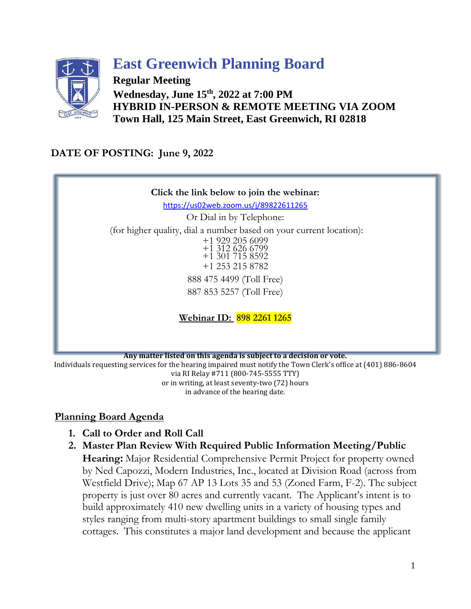

## **East Greenwich Planning Board**

**Regular Meeting Wednesday, June 15 th , 2022 at 7:00 PM HYBRID IN-PERSON & REMOTE MEETING VIA ZOOM Town Hall, 125 Main Street, East Greenwich, RI 02818**

## **DATE OF POSTING: June 9, 2022**



**Any matter listed on this agenda is subject to a decision or vote.** 

Individuals requesting services for the hearing impaired must notify the Town Clerk's office at (401) 886-8604 via RI Relay #711 (800-745-5555 TTY) or in writing, at least seventy-two (72) hours in advance of the hearing date.

## **Planning Board Agenda**

- **1. Call to Order and Roll Call**
- **2. Master Plan Review With Required Public Information Meeting/Public**

**Hearing:** Major Residential Comprehensive Permit Project for property owned by Ned Capozzi, Modern Industries, Inc., located at Division Road (across from Westfield Drive); Map 67 AP 13 Lots 35 and 53 (Zoned Farm, F-2). The subject property is just over 80 acres and currently vacant. The Applicant's intent is to build approximately 410 new dwelling units in a variety of housing types and styles ranging from multi-story apartment buildings to small single family cottages. This constitutes a major land development and because the applicant